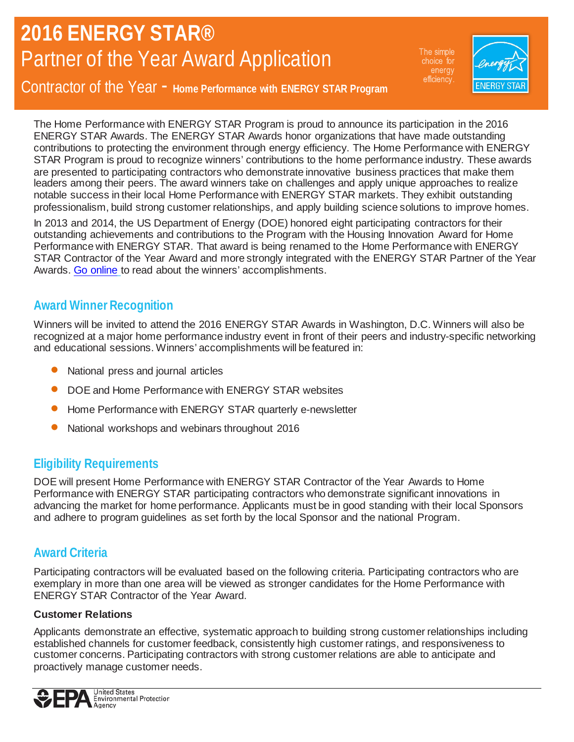The simple choice for efficiency.



Contractor of the Year - **Home Performance with ENERGY STAR Program**

The Home Performance with ENERGY STAR Program is proud to announce its participation in the 2016 ENERGY STAR Awards. The ENERGY STAR Awards honor organizations that have made outstanding contributions to protecting the environment through energy efficiency. The Home Performance with ENERGY STAR Program is proud to recognize winners' contributions to the home performance industry. These awards are presented to participating contractors who demonstrate innovative business practices that make them leaders among their peers. The award winners take on challenges and apply unique approaches to realize notable success in their local Home Performance with ENERGY STAR markets. They exhibit outstanding professionalism, build strong customer relationships, and apply building science solutions to improve homes.

In 2013 and 2014, the US Department of Energy (DOE) honored eight participating contractors for their outstanding achievements and contributions to the Program with the Housing Innovation Award for Home Performance with ENERGY STAR. That award is being renamed to the Home Performance with ENERGY STAR Contractor of the Year Award and more strongly integrated with the ENERGY STAR Partner of the Year Awards. [Go online](http://www.energystar.gov/index.cfm?c=home_improvement.hpwes_contractor_stories) to read about the winners' accomplishments.

### **Award Winner Recognition**

Winners will be invited to attend the 2016 ENERGY STAR Awards in Washington, D.C. Winners will also be recognized at a major home performance industry event in front of their peers and industry-specific networking and educational sessions. Winners' accomplishments will be featured in:

- National press and journal articles
- DOE and Home Performance with ENERGY STAR websites
- Home Performance with ENERGY STAR quarterly e-newsletter
- National workshops and webinars throughout 2016

## **Eligibility Requirements**

DOE will present Home Performance with ENERGY STAR Contractor of the Year Awards to Home Performance with ENERGY STAR participating contractors who demonstrate significant innovations in advancing the market for home performance. Applicants must be in good standing with their local Sponsors and adhere to program guidelines as set forth by the local Sponsor and the national Program.

### **Award Criteria**

Participating contractors will be evaluated based on the following criteria. Participating contractors who are exemplary in more than one area will be viewed as stronger candidates for the Home Performance with ENERGY STAR Contractor of the Year Award.

### **Customer Relations**

Applicants demonstrate an effective, systematic approach to building strong customer relationships including established channels for customer feedback, consistently high customer ratings, and responsiveness to customer concerns. Participating contractors with strong customer relations are able to anticipate and proactively manage customer needs.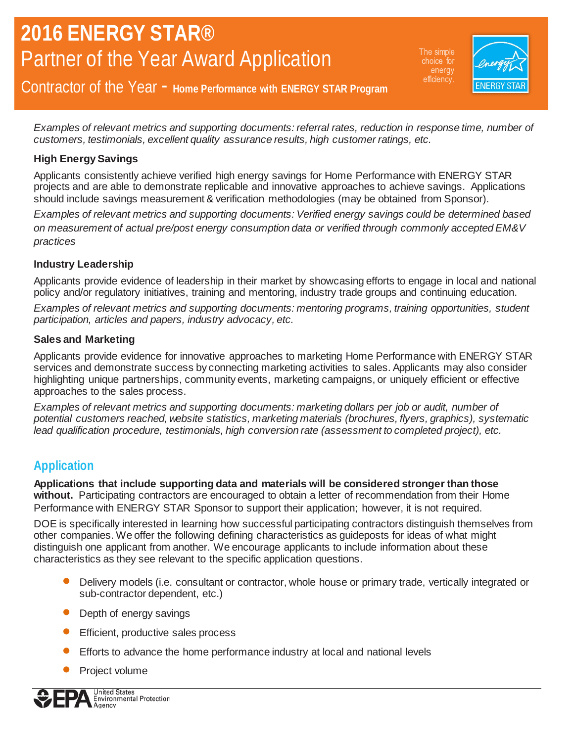The simple choice for efficiency.



Contractor of the Year - **Home Performance with ENERGY STAR Program**

*Examples of relevant metrics and supporting documents: referral rates, reduction in response time, number of customers, testimonials, excellent quality assurance results, high customer ratings, etc.* 

### **High Energy Savings**

Applicants consistently achieve verified high energy savings for Home Performance with ENERGY STAR projects and are able to demonstrate replicable and innovative approaches to achieve savings. Applications should include savings measurement & verification methodologies (may be obtained from Sponsor).

*Examples of relevant metrics and supporting documents: Verified energy savings could be determined based on measurement of actual pre/post energy consumption data or verified through commonly accepted EM&V practices* 

#### **Industry Leadership**

Applicants provide evidence of leadership in their market by showcasing efforts to engage in local and national policy and/or regulatory initiatives, training and mentoring, industry trade groups and continuing education.

*Examples of relevant metrics and supporting documents: mentoring programs, training opportunities, student participation, articles and papers, industry advocacy, etc.*

#### **Sales and Marketing**

Applicants provide evidence for innovative approaches to marketing Home Performance with ENERGY STAR services and demonstrate success by connecting marketing activities to sales. Applicants may also consider highlighting unique partnerships, community events, marketing campaigns, or uniquely efficient or effective approaches to the sales process.

*Examples of relevant metrics and supporting documents: marketing dollars per job or audit, number of potential customers reached, website statistics, marketing materials (brochures, flyers, graphics), systematic lead qualification procedure, testimonials, high conversion rate (assessment to completed project), etc.* 

### **Application**

**Applications that include supporting data and materials will be considered stronger than those without.** Participating contractors are encouraged to obtain a letter of recommendation from their Home Performance with ENERGY STAR Sponsor to support their application; however, it is not required.

DOE is specifically interested in learning how successful participating contractors distinguish themselves from other companies. We offer the following defining characteristics as guideposts for ideas of what might distinguish one applicant from another. We encourage applicants to include information about these characteristics as they see relevant to the specific application questions.

- Delivery models (i.e. consultant or contractor, whole house or primary trade, vertically integrated or sub-contractor dependent, etc.)
- Depth of energy savings
- Efficient, productive sales process
- Efforts to advance the home performance industry at local and national levels
- Project volume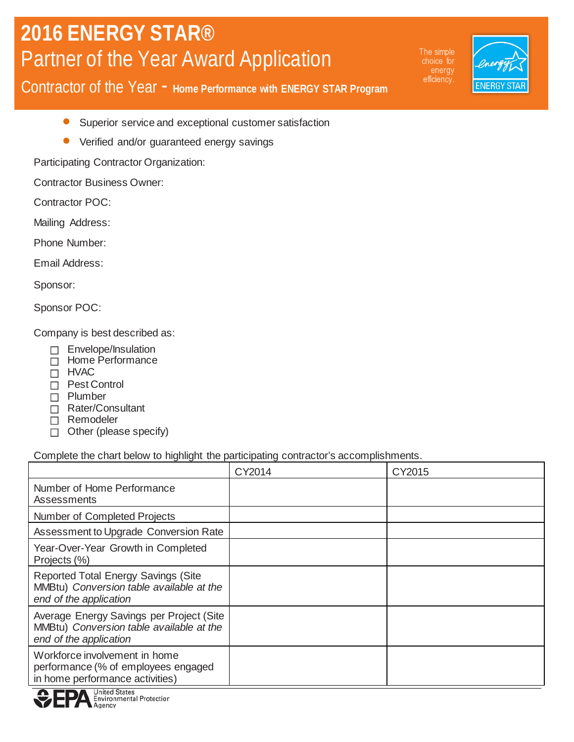The simple energy efficiency.



Contractor of the Year - **Home Performance with ENERGY STAR Program**

- Superior service and exceptional customer satisfaction
- Verified and/or guaranteed energy savings

Participating Contractor Organization:

Contractor Business Owner:

Contractor POC:

Mailing Address:

Phone Number:

Email Address:

Sponsor:

Sponsor POC:

Company is best described as:

- Envelope/Insulation
- Home Performance
- □ HVAC
- □ Pest Control
- **Plumber**
- □ Rater/Consultant
- Remodeler
- $\Box$  Other (please specify)

#### Complete the chart below to highlight the participating contractor's accomplishments.

|                                                                                                                   | CY2014 | CY2015 |
|-------------------------------------------------------------------------------------------------------------------|--------|--------|
| Number of Home Performance<br>Assessments                                                                         |        |        |
| Number of Completed Projects                                                                                      |        |        |
| Assessment to Upgrade Conversion Rate                                                                             |        |        |
| Year-Over-Year Growth in Completed<br>Projects (%)                                                                |        |        |
| <b>Reported Total Energy Savings (Site)</b><br>MMBtu) Conversion table available at the<br>end of the application |        |        |
| Average Energy Savings per Project (Site<br>MMBtu) Conversion table available at the<br>end of the application    |        |        |
| Workforce involvement in home<br>performance (% of employees engaged<br>in home performance activities)           |        |        |

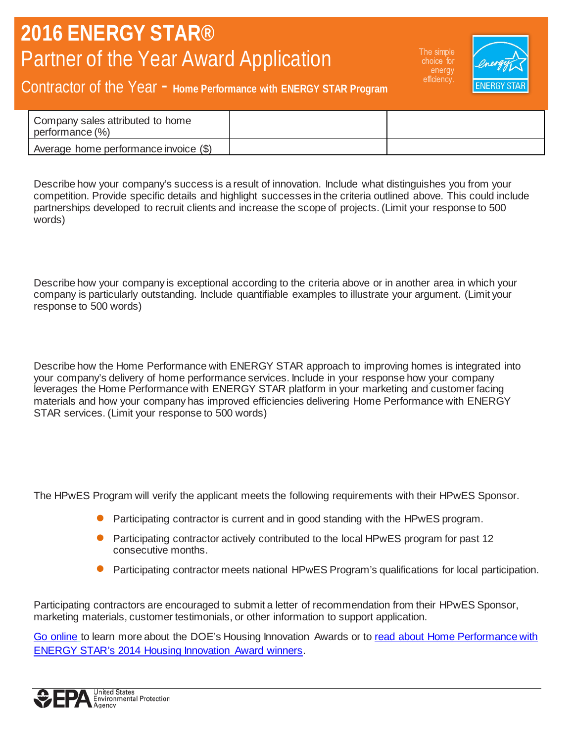The simple choice for efficiency.



## Contractor of the Year - **Home Performance with ENERGY STAR Program**

| Company sales attributed to home<br>performance (%) |  |
|-----------------------------------------------------|--|
| Average home performance invoice (\$)               |  |

Describe how your company's success is a result of innovation. Include what distinguishes you from your competition. Provide specific details and highlight successes in the criteria outlined above. This could include partnerships developed to recruit clients and increase the scope of projects. (Limit your response to 500 words)

Describe how your company is exceptional according to the criteria above or in another area in which your company is particularly outstanding. Include quantifiable examples to illustrate your argument. (Limit your response to 500 words)

Describe how the Home Performance with ENERGY STAR approach to improving homes is integrated into your company's delivery of home performance services. Include in your response how your company leverages the Home Performance with ENERGY STAR platform in your marketing and customer facing materials and how your company has improved efficiencies delivering Home Performance with ENERGY STAR services. (Limit your response to 500 words)

The HPwES Program will verify the applicant meets the following requirements with their HPwES Sponsor.

- Participating contractor is current and in good standing with the HPwES program.
- Participating contractor actively contributed to the local HPwES program for past 12 consecutive months.
- Participating contractor meets national HPwES Program's qualifications for local participation.

Participating contractors are encouraged to submit a letter of recommendation from their HPwES Sponsor, marketing materials, customer testimonials, or other information to support application.

[Go online](http://www.energystar.gov/index.cfm?c=home_improvement.hpwes_contractor_stories) to learn more about the DOE's Housing Innovation Awards or to [read about Home Performance with](http://www.energystar.gov/index.cfm?c=home_improvement.hpwes_contractor_stories)  [ENERGY STAR's 2014 Housing Innovation Award winners.](http://www.energystar.gov/index.cfm?c=home_improvement.hpwes_contractor_stories)